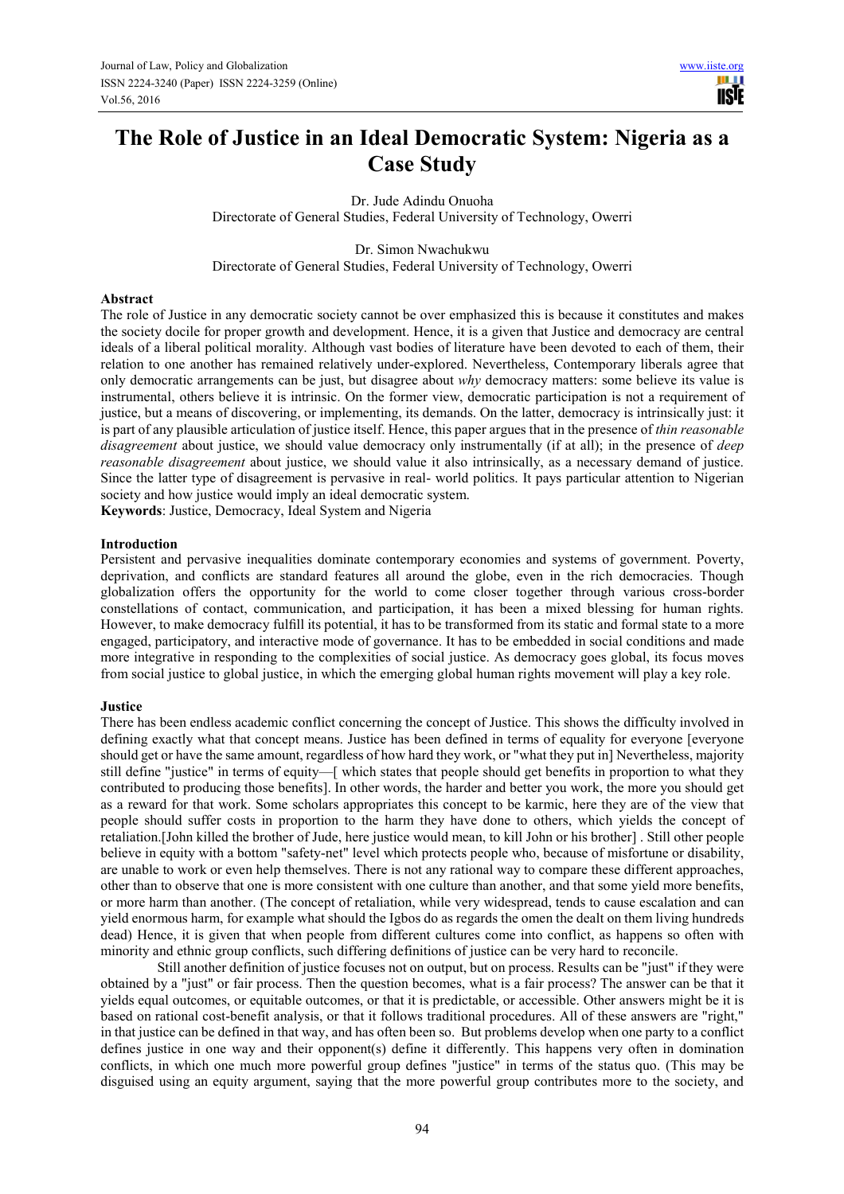# **The Role of Justice in an Ideal Democratic System: Nigeria as a Case Study**

Dr. Jude Adindu Onuoha Directorate of General Studies, Federal University of Technology, Owerri

Dr. Simon Nwachukwu Directorate of General Studies, Federal University of Technology, Owerri

#### **Abstract**

The role of Justice in any democratic society cannot be over emphasized this is because it constitutes and makes the society docile for proper growth and development. Hence, it is a given that Justice and democracy are central ideals of a liberal political morality. Although vast bodies of literature have been devoted to each of them, their relation to one another has remained relatively under-explored. Nevertheless, Contemporary liberals agree that only democratic arrangements can be just, but disagree about *why* democracy matters: some believe its value is instrumental, others believe it is intrinsic. On the former view, democratic participation is not a requirement of justice, but a means of discovering, or implementing, its demands. On the latter, democracy is intrinsically just: it is part of any plausible articulation of justice itself. Hence, this paper argues that in the presence of *thin reasonable disagreement* about justice, we should value democracy only instrumentally (if at all); in the presence of *deep reasonable disagreement* about justice, we should value it also intrinsically, as a necessary demand of justice. Since the latter type of disagreement is pervasive in real- world politics. It pays particular attention to Nigerian society and how justice would imply an ideal democratic system.

**Keywords**: Justice, Democracy, Ideal System and Nigeria

#### **Introduction**

Persistent and pervasive inequalities dominate contemporary economies and systems of government. Poverty, deprivation, and conflicts are standard features all around the globe, even in the rich democracies. Though globalization offers the opportunity for the world to come closer together through various cross-border constellations of contact, communication, and participation, it has been a mixed blessing for human rights. However, to make democracy fulfill its potential, it has to be transformed from its static and formal state to a more engaged, participatory, and interactive mode of governance. It has to be embedded in social conditions and made more integrative in responding to the complexities of social justice. As democracy goes global, its focus moves from social justice to global justice, in which the emerging global human rights movement will play a key role.

#### **Justice**

There has been endless academic conflict concerning the concept of Justice. This shows the difficulty involved in defining exactly what that concept means. Justice has been defined in terms of equality for everyone [everyone should get or have the same amount, regardless of how hard they work, or "what they put in] Nevertheless, majority still define "justice" in terms of equity—[ which states that people should get benefits in proportion to what they contributed to producing those benefits]. In other words, the harder and better you work, the more you should get as a reward for that work. Some scholars appropriates this concept to be karmic, here they are of the view that people should suffer costs in proportion to the harm they have done to others, which yields the concept of retaliation.[John killed the brother of Jude, here justice would mean, to kill John or his brother] . Still other people believe in equity with a bottom "safety-net" level which protects people who, because of misfortune or disability, are unable to work or even help themselves. There is not any rational way to compare these different approaches, other than to observe that one is more consistent with one culture than another, and that some yield more benefits, or more harm than another. (The concept of retaliation, while very widespread, tends to cause escalation and can yield enormous harm, for example what should the Igbos do as regards the omen the dealt on them living hundreds dead) Hence, it is given that when people from different cultures come into conflict, as happens so often with minority and ethnic group conflicts, such differing definitions of justice can be very hard to reconcile.

Still another definition of justice focuses not on output, but on process. Results can be "just" if they were obtained by a "just" or fair process. Then the question becomes, what is a fair process? The answer can be that it yields equal outcomes, or equitable outcomes, or that it is predictable, or accessible. Other answers might be it is based on rational cost-benefit analysis, or that it follows traditional procedures. All of these answers are "right," in that justice can be defined in that way, and has often been so. But problems develop when one party to a conflict defines justice in one way and their opponent(s) define it differently. This happens very often in domination conflicts, in which one much more powerful group defines "justice" in terms of the status quo. (This may be disguised using an equity argument, saying that the more powerful group contributes more to the society, and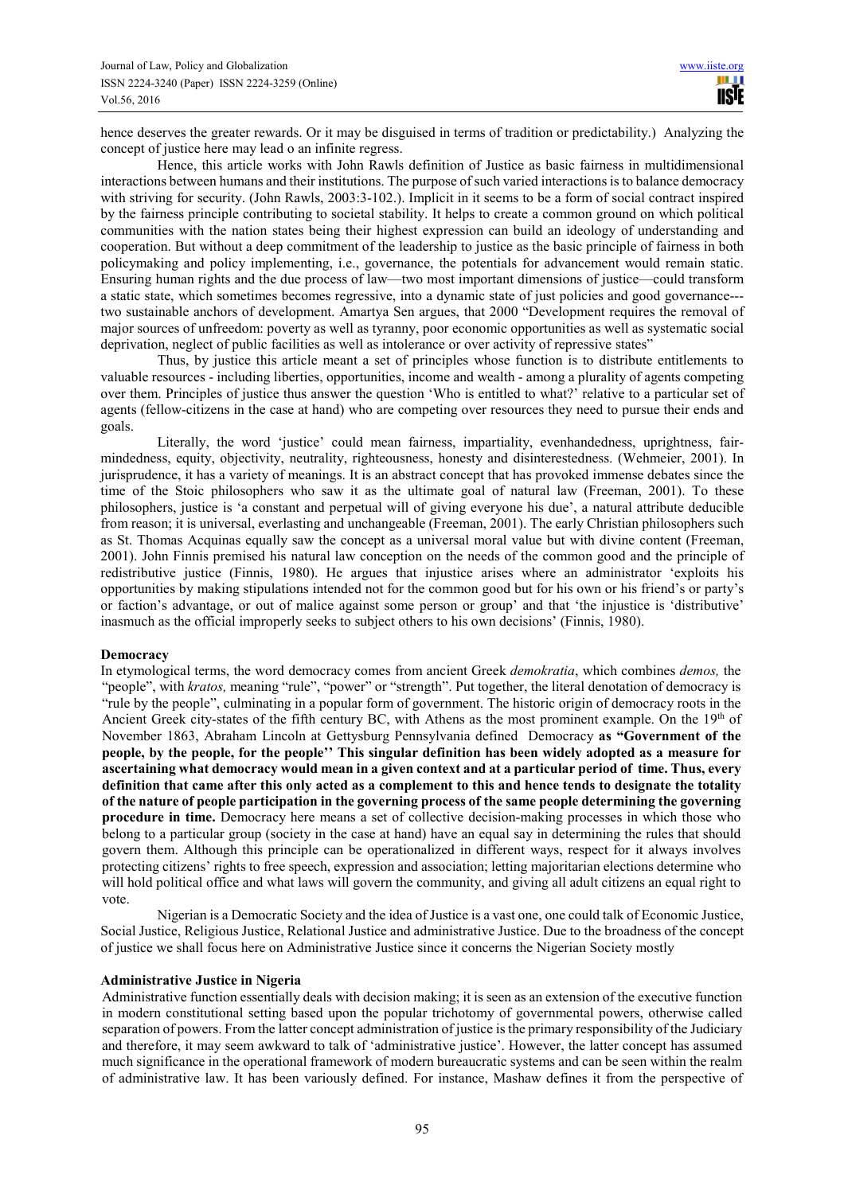hence deserves the greater rewards. Or it may be disguised in terms of tradition or predictability.) Analyzing the concept of justice here may lead o an infinite regress.

Hence, this article works with John Rawls definition of Justice as basic fairness in multidimensional interactions between humans and their institutions. The purpose of such varied interactions is to balance democracy with striving for security. (John Rawls, 2003:3-102.). Implicit in it seems to be a form of social contract inspired by the fairness principle contributing to societal stability. It helps to create a common ground on which political communities with the nation states being their highest expression can build an ideology of understanding and cooperation. But without a deep commitment of the leadership to justice as the basic principle of fairness in both policymaking and policy implementing, i.e., governance, the potentials for advancement would remain static. Ensuring human rights and the due process of law—two most important dimensions of justice—could transform a static state, which sometimes becomes regressive, into a dynamic state of just policies and good governance-- two sustainable anchors of development. Amartya Sen argues, that 2000 "Development requires the removal of major sources of unfreedom: poverty as well as tyranny, poor economic opportunities as well as systematic social deprivation, neglect of public facilities as well as intolerance or over activity of repressive states"

Thus, by justice this article meant a set of principles whose function is to distribute entitlements to valuable resources - including liberties, opportunities, income and wealth - among a plurality of agents competing over them. Principles of justice thus answer the question 'Who is entitled to what?' relative to a particular set of agents (fellow-citizens in the case at hand) who are competing over resources they need to pursue their ends and goals.

Literally, the word 'justice' could mean fairness, impartiality, evenhandedness, uprightness, fairmindedness, equity, objectivity, neutrality, righteousness, honesty and disinterestedness. (Wehmeier, 2001). In jurisprudence, it has a variety of meanings. It is an abstract concept that has provoked immense debates since the time of the Stoic philosophers who saw it as the ultimate goal of natural law (Freeman, 2001). To these philosophers, justice is 'a constant and perpetual will of giving everyone his due', a natural attribute deducible from reason; it is universal, everlasting and unchangeable (Freeman, 2001). The early Christian philosophers such as St. Thomas Acquinas equally saw the concept as a universal moral value but with divine content (Freeman, 2001). John Finnis premised his natural law conception on the needs of the common good and the principle of redistributive justice (Finnis, 1980). He argues that injustice arises where an administrator 'exploits his opportunities by making stipulations intended not for the common good but for his own or his friend's or party's or faction's advantage, or out of malice against some person or group' and that 'the injustice is 'distributive' inasmuch as the official improperly seeks to subject others to his own decisions' (Finnis, 1980).

#### **Democracy**

In etymological terms, the word democracy comes from ancient Greek *demokratia*, which combines *demos,* the "people", with *kratos*, meaning "rule", "power" or "strength". Put together, the literal denotation of democracy is "rule by the people", culminating in a popular form of government. The historic origin of democracy roots in the Ancient Greek city-states of the fifth century BC, with Athens as the most prominent example. On the 19<sup>th</sup> of November 1863, Abraham Lincoln at Gettysburg Pennsylvania defined Democracy **as "Government of the people, by the people, for the people'' This singular definition has been widely adopted as a measure for ascertaining what democracy would mean in a given context and at a particular period of time. Thus, every definition that came after this only acted as a complement to this and hence tends to designate the totality of the nature of people participation in the governing process of the same people determining the governing procedure in time.** Democracy here means a set of collective decision-making processes in which those who belong to a particular group (society in the case at hand) have an equal say in determining the rules that should govern them. Although this principle can be operationalized in different ways, respect for it always involves protecting citizens' rights to free speech, expression and association; letting majoritarian elections determine who will hold political office and what laws will govern the community, and giving all adult citizens an equal right to vote.

Nigerian is a Democratic Society and the idea of Justice is a vast one, one could talk of Economic Justice, Social Justice, Religious Justice, Relational Justice and administrative Justice. Due to the broadness of the concept of justice we shall focus here on Administrative Justice since it concerns the Nigerian Society mostly

#### **Administrative Justice in Nigeria**

Administrative function essentially deals with decision making; it is seen as an extension of the executive function in modern constitutional setting based upon the popular trichotomy of governmental powers, otherwise called separation of powers. From the latter concept administration of justice is the primary responsibility of the Judiciary and therefore, it may seem awkward to talk of 'administrative justice'. However, the latter concept has assumed much significance in the operational framework of modern bureaucratic systems and can be seen within the realm of administrative law. It has been variously defined. For instance, Mashaw defines it from the perspective of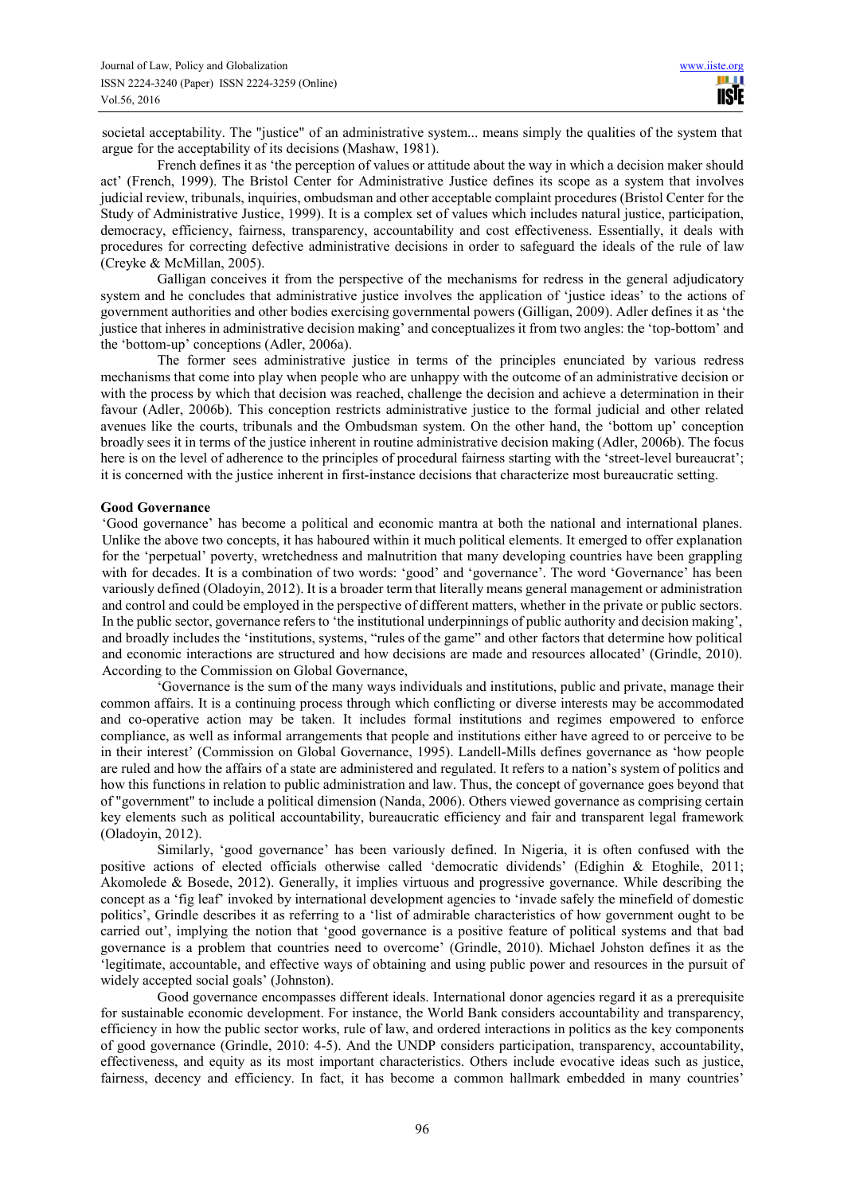societal acceptability. The "justice" of an administrative system... means simply the qualities of the system that argue for the acceptability of its decisions (Mashaw, 1981).

French defines it as 'the perception of values or attitude about the way in which a decision maker should act' (French, 1999). The Bristol Center for Administrative Justice defines its scope as a system that involves judicial review, tribunals, inquiries, ombudsman and other acceptable complaint procedures (Bristol Center for the Study of Administrative Justice, 1999). It is a complex set of values which includes natural justice, participation, democracy, efficiency, fairness, transparency, accountability and cost effectiveness. Essentially, it deals with procedures for correcting defective administrative decisions in order to safeguard the ideals of the rule of law (Creyke & McMillan, 2005).

Galligan conceives it from the perspective of the mechanisms for redress in the general adjudicatory system and he concludes that administrative justice involves the application of 'justice ideas' to the actions of government authorities and other bodies exercising governmental powers (Gilligan, 2009). Adler defines it as 'the justice that inheres in administrative decision making' and conceptualizes it from two angles: the 'top-bottom' and the 'bottom-up' conceptions (Adler, 2006a).

The former sees administrative justice in terms of the principles enunciated by various redress mechanisms that come into play when people who are unhappy with the outcome of an administrative decision or with the process by which that decision was reached, challenge the decision and achieve a determination in their favour (Adler, 2006b). This conception restricts administrative justice to the formal judicial and other related avenues like the courts, tribunals and the Ombudsman system. On the other hand, the 'bottom up' conception broadly sees it in terms of the justice inherent in routine administrative decision making (Adler, 2006b). The focus here is on the level of adherence to the principles of procedural fairness starting with the 'street-level bureaucrat'; it is concerned with the justice inherent in first-instance decisions that characterize most bureaucratic setting.

#### **Good Governance**

'Good governance' has become a political and economic mantra at both the national and international planes. Unlike the above two concepts, it has haboured within it much political elements. It emerged to offer explanation for the 'perpetual' poverty, wretchedness and malnutrition that many developing countries have been grappling with for decades. It is a combination of two words: 'good' and 'governance'. The word 'Governance' has been variously defined (Oladoyin, 2012). It is a broader term that literally means general management or administration and control and could be employed in the perspective of different matters, whether in the private or public sectors. In the public sector, governance refers to 'the institutional underpinnings of public authority and decision making', and broadly includes the 'institutions, systems, "rules of the game" and other factors that determine how political and economic interactions are structured and how decisions are made and resources allocated' (Grindle, 2010). According to the Commission on Global Governance,

'Governance is the sum of the many ways individuals and institutions, public and private, manage their common affairs. It is a continuing process through which conflicting or diverse interests may be accommodated and co-operative action may be taken. It includes formal institutions and regimes empowered to enforce compliance, as well as informal arrangements that people and institutions either have agreed to or perceive to be in their interest' (Commission on Global Governance, 1995). Landell-Mills defines governance as 'how people are ruled and how the affairs of a state are administered and regulated. It refers to a nation's system of politics and how this functions in relation to public administration and law. Thus, the concept of governance goes beyond that of "government" to include a political dimension (Nanda, 2006). Others viewed governance as comprising certain key elements such as political accountability, bureaucratic efficiency and fair and transparent legal framework (Oladoyin, 2012).

Similarly, 'good governance' has been variously defined. In Nigeria, it is often confused with the positive actions of elected officials otherwise called 'democratic dividends' (Edighin & Etoghile, 2011; Akomolede & Bosede, 2012). Generally, it implies virtuous and progressive governance. While describing the concept as a 'fig leaf' invoked by international development agencies to 'invade safely the minefield of domestic politics', Grindle describes it as referring to a 'list of admirable characteristics of how government ought to be carried out', implying the notion that 'good governance is a positive feature of political systems and that bad governance is a problem that countries need to overcome' (Grindle, 2010). Michael Johston defines it as the 'legitimate, accountable, and effective ways of obtaining and using public power and resources in the pursuit of widely accepted social goals' (Johnston).

Good governance encompasses different ideals. International donor agencies regard it as a prerequisite for sustainable economic development. For instance, the World Bank considers accountability and transparency, efficiency in how the public sector works, rule of law, and ordered interactions in politics as the key components of good governance (Grindle, 2010: 4-5). And the UNDP considers participation, transparency, accountability, effectiveness, and equity as its most important characteristics. Others include evocative ideas such as justice, fairness, decency and efficiency. In fact, it has become a common hallmark embedded in many countries'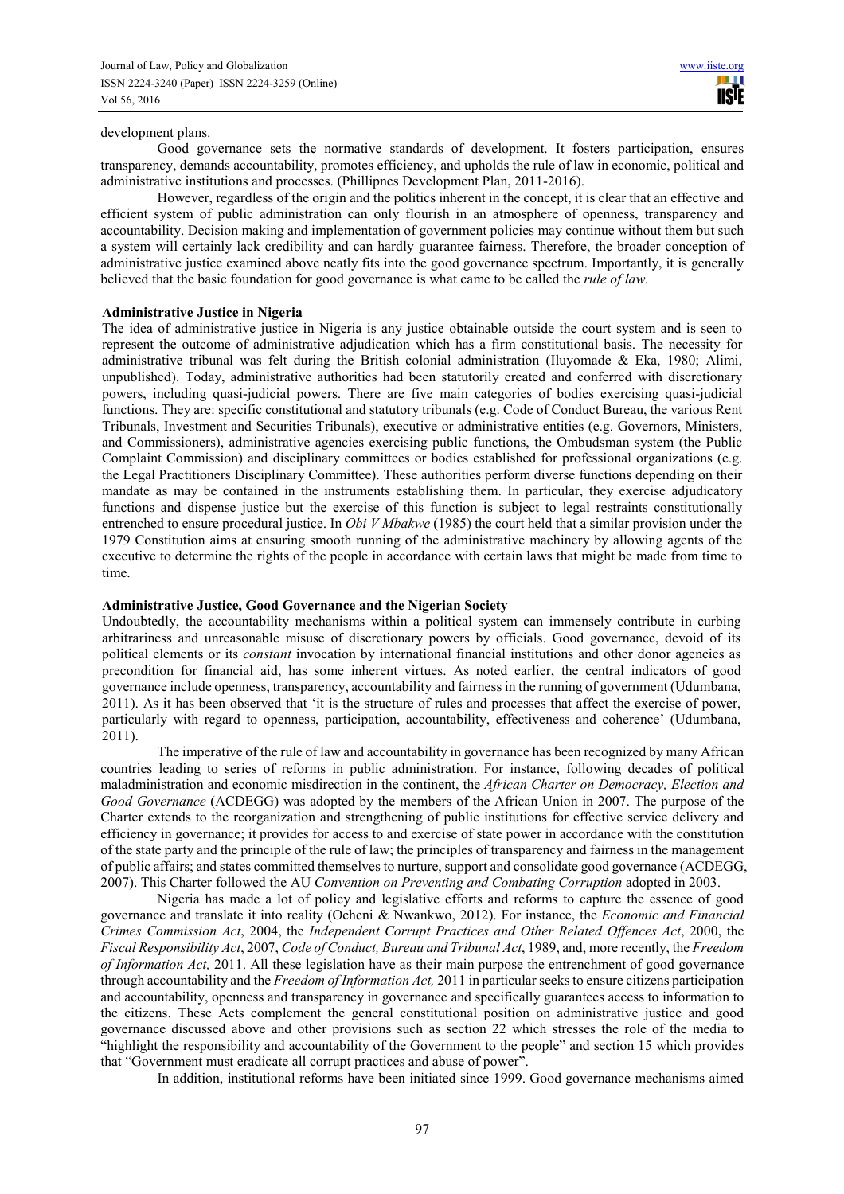#### development plans.

Good governance sets the normative standards of development. It fosters participation, ensures transparency, demands accountability, promotes efficiency, and upholds the rule of law in economic, political and administrative institutions and processes. (Phillipnes Development Plan, 2011-2016).

However, regardless of the origin and the politics inherent in the concept, it is clear that an effective and efficient system of public administration can only flourish in an atmosphere of openness, transparency and accountability. Decision making and implementation of government policies may continue without them but such a system will certainly lack credibility and can hardly guarantee fairness. Therefore, the broader conception of administrative justice examined above neatly fits into the good governance spectrum. Importantly, it is generally believed that the basic foundation for good governance is what came to be called the *rule of law.* 

#### **Administrative Justice in Nigeria**

The idea of administrative justice in Nigeria is any justice obtainable outside the court system and is seen to represent the outcome of administrative adjudication which has a firm constitutional basis. The necessity for administrative tribunal was felt during the British colonial administration (Iluyomade & Eka, 1980; Alimi, unpublished). Today, administrative authorities had been statutorily created and conferred with discretionary powers, including quasi-judicial powers. There are five main categories of bodies exercising quasi-judicial functions. They are: specific constitutional and statutory tribunals (e.g. Code of Conduct Bureau, the various Rent Tribunals, Investment and Securities Tribunals), executive or administrative entities (e.g. Governors, Ministers, and Commissioners), administrative agencies exercising public functions, the Ombudsman system (the Public Complaint Commission) and disciplinary committees or bodies established for professional organizations (e.g. the Legal Practitioners Disciplinary Committee). These authorities perform diverse functions depending on their mandate as may be contained in the instruments establishing them. In particular, they exercise adjudicatory functions and dispense justice but the exercise of this function is subject to legal restraints constitutionally entrenched to ensure procedural justice. In *Obi V Mbakwe* (1985) the court held that a similar provision under the 1979 Constitution aims at ensuring smooth running of the administrative machinery by allowing agents of the executive to determine the rights of the people in accordance with certain laws that might be made from time to time.

## **Administrative Justice, Good Governance and the Nigerian Society**

Undoubtedly, the accountability mechanisms within a political system can immensely contribute in curbing arbitrariness and unreasonable misuse of discretionary powers by officials. Good governance, devoid of its political elements or its *constant* invocation by international financial institutions and other donor agencies as precondition for financial aid, has some inherent virtues. As noted earlier, the central indicators of good governance include openness, transparency, accountability and fairness in the running of government (Udumbana, 2011). As it has been observed that 'it is the structure of rules and processes that affect the exercise of power, particularly with regard to openness, participation, accountability, effectiveness and coherence' (Udumbana, 2011).

The imperative of the rule of law and accountability in governance has been recognized by many African countries leading to series of reforms in public administration. For instance, following decades of political maladministration and economic misdirection in the continent, the *African Charter on Democracy, Election and Good Governance* (ACDEGG) was adopted by the members of the African Union in 2007. The purpose of the Charter extends to the reorganization and strengthening of public institutions for effective service delivery and efficiency in governance; it provides for access to and exercise of state power in accordance with the constitution of the state party and the principle of the rule of law; the principles of transparency and fairness in the management of public affairs; and states committed themselves to nurture, support and consolidate good governance (ACDEGG, 2007). This Charter followed the AU *Convention on Preventing and Combating Corruption* adopted in 2003.

Nigeria has made a lot of policy and legislative efforts and reforms to capture the essence of good governance and translate it into reality (Ocheni & Nwankwo, 2012). For instance, the *Economic and Financial Crimes Commission Act*, 2004, the *Independent Corrupt Practices and Other Related Offences Act*, 2000, the *Fiscal Responsibility Act*, 2007, *Code of Conduct, Bureau and Tribunal Act*, 1989, and, more recently, the *Freedom of Information Act,* 2011. All these legislation have as their main purpose the entrenchment of good governance through accountability and the *Freedom of Information Act,* 2011 in particular seeks to ensure citizens participation and accountability, openness and transparency in governance and specifically guarantees access to information to the citizens. These Acts complement the general constitutional position on administrative justice and good governance discussed above and other provisions such as section 22 which stresses the role of the media to "highlight the responsibility and accountability of the Government to the people" and section 15 which provides that "Government must eradicate all corrupt practices and abuse of power".

In addition, institutional reforms have been initiated since 1999. Good governance mechanisms aimed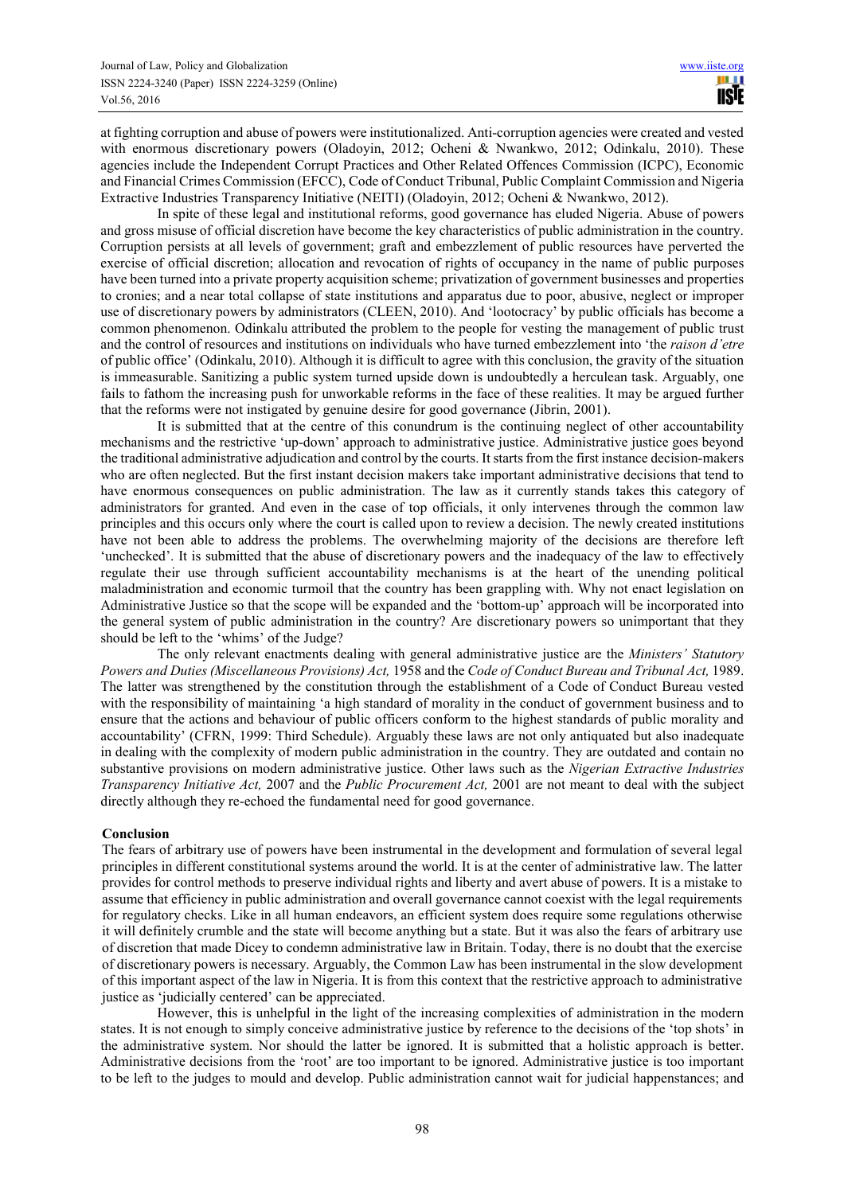at fighting corruption and abuse of powers were institutionalized. Anti-corruption agencies were created and vested with enormous discretionary powers (Oladoyin, 2012; Ocheni & Nwankwo, 2012; Odinkalu, 2010). These agencies include the Independent Corrupt Practices and Other Related Offences Commission (ICPC), Economic and Financial Crimes Commission (EFCC), Code of Conduct Tribunal, Public Complaint Commission and Nigeria Extractive Industries Transparency Initiative (NEITI) (Oladoyin, 2012; Ocheni & Nwankwo, 2012).

In spite of these legal and institutional reforms, good governance has eluded Nigeria. Abuse of powers and gross misuse of official discretion have become the key characteristics of public administration in the country. Corruption persists at all levels of government; graft and embezzlement of public resources have perverted the exercise of official discretion; allocation and revocation of rights of occupancy in the name of public purposes have been turned into a private property acquisition scheme; privatization of government businesses and properties to cronies; and a near total collapse of state institutions and apparatus due to poor, abusive, neglect or improper use of discretionary powers by administrators (CLEEN, 2010). And 'lootocracy' by public officials has become a common phenomenon. Odinkalu attributed the problem to the people for vesting the management of public trust and the control of resources and institutions on individuals who have turned embezzlement into 'the *raison d'etre* of public office' (Odinkalu, 2010). Although it is difficult to agree with this conclusion, the gravity of the situation is immeasurable. Sanitizing a public system turned upside down is undoubtedly a herculean task. Arguably, one fails to fathom the increasing push for unworkable reforms in the face of these realities. It may be argued further that the reforms were not instigated by genuine desire for good governance (Jibrin, 2001).

It is submitted that at the centre of this conundrum is the continuing neglect of other accountability mechanisms and the restrictive 'up-down' approach to administrative justice. Administrative justice goes beyond the traditional administrative adjudication and control by the courts. It starts from the first instance decision-makers who are often neglected. But the first instant decision makers take important administrative decisions that tend to have enormous consequences on public administration. The law as it currently stands takes this category of administrators for granted. And even in the case of top officials, it only intervenes through the common law principles and this occurs only where the court is called upon to review a decision. The newly created institutions have not been able to address the problems. The overwhelming majority of the decisions are therefore left 'unchecked'. It is submitted that the abuse of discretionary powers and the inadequacy of the law to effectively regulate their use through sufficient accountability mechanisms is at the heart of the unending political maladministration and economic turmoil that the country has been grappling with. Why not enact legislation on Administrative Justice so that the scope will be expanded and the 'bottom-up' approach will be incorporated into the general system of public administration in the country? Are discretionary powers so unimportant that they should be left to the 'whims' of the Judge?

The only relevant enactments dealing with general administrative justice are the *Ministers' Statutory Powers and Duties (Miscellaneous Provisions) Act,* 1958 and the *Code of Conduct Bureau and Tribunal Act,* 1989. The latter was strengthened by the constitution through the establishment of a Code of Conduct Bureau vested with the responsibility of maintaining 'a high standard of morality in the conduct of government business and to ensure that the actions and behaviour of public officers conform to the highest standards of public morality and accountability' (CFRN, 1999: Third Schedule). Arguably these laws are not only antiquated but also inadequate in dealing with the complexity of modern public administration in the country. They are outdated and contain no substantive provisions on modern administrative justice. Other laws such as the *Nigerian Extractive Industries Transparency Initiative Act,* 2007 and the *Public Procurement Act,* 2001 are not meant to deal with the subject directly although they re-echoed the fundamental need for good governance.

## **Conclusion**

The fears of arbitrary use of powers have been instrumental in the development and formulation of several legal principles in different constitutional systems around the world. It is at the center of administrative law. The latter provides for control methods to preserve individual rights and liberty and avert abuse of powers. It is a mistake to assume that efficiency in public administration and overall governance cannot coexist with the legal requirements for regulatory checks. Like in all human endeavors, an efficient system does require some regulations otherwise it will definitely crumble and the state will become anything but a state. But it was also the fears of arbitrary use of discretion that made Dicey to condemn administrative law in Britain. Today, there is no doubt that the exercise of discretionary powers is necessary. Arguably, the Common Law has been instrumental in the slow development of this important aspect of the law in Nigeria. It is from this context that the restrictive approach to administrative justice as 'judicially centered' can be appreciated.

However, this is unhelpful in the light of the increasing complexities of administration in the modern states. It is not enough to simply conceive administrative justice by reference to the decisions of the 'top shots' in the administrative system. Nor should the latter be ignored. It is submitted that a holistic approach is better. Administrative decisions from the 'root' are too important to be ignored. Administrative justice is too important to be left to the judges to mould and develop. Public administration cannot wait for judicial happenstances; and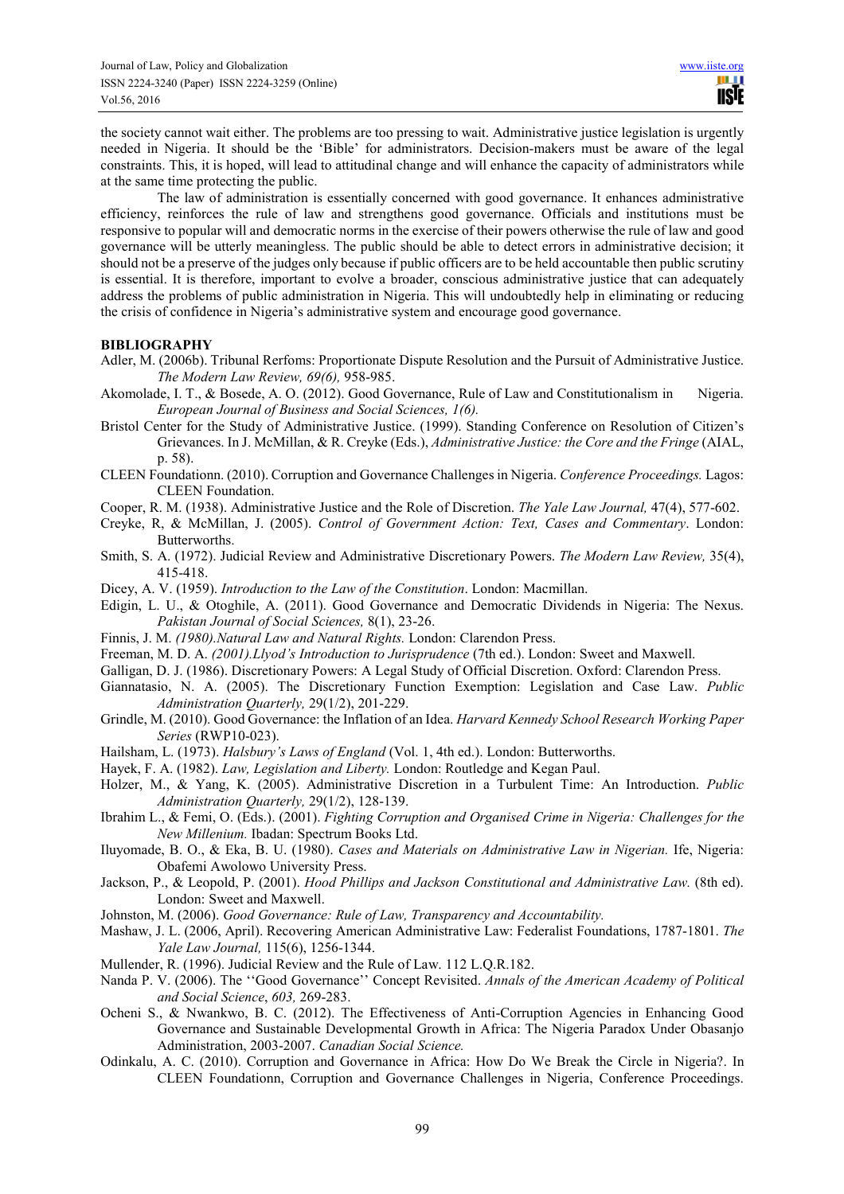the society cannot wait either. The problems are too pressing to wait. Administrative justice legislation is urgently needed in Nigeria. It should be the 'Bible' for administrators. Decision-makers must be aware of the legal constraints. This, it is hoped, will lead to attitudinal change and will enhance the capacity of administrators while at the same time protecting the public.

The law of administration is essentially concerned with good governance. It enhances administrative efficiency, reinforces the rule of law and strengthens good governance. Officials and institutions must be responsive to popular will and democratic norms in the exercise of their powers otherwise the rule of law and good governance will be utterly meaningless. The public should be able to detect errors in administrative decision; it should not be a preserve of the judges only because if public officers are to be held accountable then public scrutiny is essential. It is therefore, important to evolve a broader, conscious administrative justice that can adequately address the problems of public administration in Nigeria. This will undoubtedly help in eliminating or reducing the crisis of confidence in Nigeria's administrative system and encourage good governance.

#### **BIBLIOGRAPHY**

- Adler, M. (2006b). Tribunal Rerfoms: Proportionate Dispute Resolution and the Pursuit of Administrative Justice. *The Modern Law Review, 69(6),* 958-985.
- Akomolade, I. T., & Bosede, A. O. (2012). Good Governance, Rule of Law and Constitutionalism in Nigeria. *European Journal of Business and Social Sciences, 1(6).*
- Bristol Center for the Study of Administrative Justice. (1999). Standing Conference on Resolution of Citizen's Grievances. In J. McMillan, & R. Creyke (Eds.), *Administrative Justice: the Core and the Fringe* (AIAL, p. 58).
- CLEEN Foundationn. (2010). Corruption and Governance Challenges in Nigeria. *Conference Proceedings.* Lagos: CLEEN Foundation.
- Cooper, R. M. (1938). Administrative Justice and the Role of Discretion. *The Yale Law Journal,* 47(4), 577-602.
- Creyke, R, & McMillan, J. (2005). *Control of Government Action: Text, Cases and Commentary*. London: Butterworths.
- Smith, S. A. (1972). Judicial Review and Administrative Discretionary Powers. *The Modern Law Review,* 35(4), 415-418.
- Dicey, A. V. (1959). *Introduction to the Law of the Constitution*. London: Macmillan.
- Edigin, L. U., & Otoghile, A. (2011). Good Governance and Democratic Dividends in Nigeria: The Nexus. *Pakistan Journal of Social Sciences,* 8(1), 23-26.
- Finnis, J. M. *(1980).Natural Law and Natural Rights.* London: Clarendon Press.
- Freeman, M. D. A. *(2001).Llyod's Introduction to Jurisprudence* (7th ed.). London: Sweet and Maxwell.
- Galligan, D. J. (1986). Discretionary Powers: A Legal Study of Official Discretion. Oxford: Clarendon Press.
- Giannatasio, N. A. (2005). The Discretionary Function Exemption: Legislation and Case Law. *Public Administration Quarterly,* 29(1/2), 201-229.
- Grindle, M. (2010). Good Governance: the Inflation of an Idea. *Harvard Kennedy School Research Working Paper Series* (RWP10-023).
- Hailsham, L. (1973). *Halsbury's Laws of England* (Vol. 1, 4th ed.). London: Butterworths.
- Hayek, F. A. (1982). *Law, Legislation and Liberty.* London: Routledge and Kegan Paul.
- Holzer, M., & Yang, K. (2005). Administrative Discretion in a Turbulent Time: An Introduction. *Public Administration Quarterly,* 29(1/2), 128-139.
- Ibrahim L., & Femi, O. (Eds.). (2001). *Fighting Corruption and Organised Crime in Nigeria: Challenges for the New Millenium.* Ibadan: Spectrum Books Ltd.
- Iluyomade, B. O., & Eka, B. U. (1980). *Cases and Materials on Administrative Law in Nigerian.* Ife, Nigeria: Obafemi Awolowo University Press.
- Jackson, P., & Leopold, P. (2001). *Hood Phillips and Jackson Constitutional and Administrative Law.* (8th ed). London: Sweet and Maxwell.
- Johnston, M. (2006). *Good Governance: Rule of Law, Transparency and Accountability.*
- Mashaw, J. L. (2006, April). Recovering American Administrative Law: Federalist Foundations, 1787-1801. *The Yale Law Journal,* 115(6), 1256-1344.
- Mullender, R. (1996). Judicial Review and the Rule of Law. 112 L.Q.R.182.
- Nanda P. V. (2006). The ''Good Governance'' Concept Revisited. *Annals of the American Academy of Political and Social Science*, *603,* 269-283.
- Ocheni S., & Nwankwo, B. C. (2012). The Effectiveness of Anti-Corruption Agencies in Enhancing Good Governance and Sustainable Developmental Growth in Africa: The Nigeria Paradox Under Obasanjo Administration, 2003-2007. *Canadian Social Science.*
- Odinkalu, A. C. (2010). Corruption and Governance in Africa: How Do We Break the Circle in Nigeria?. In CLEEN Foundationn, Corruption and Governance Challenges in Nigeria, Conference Proceedings.